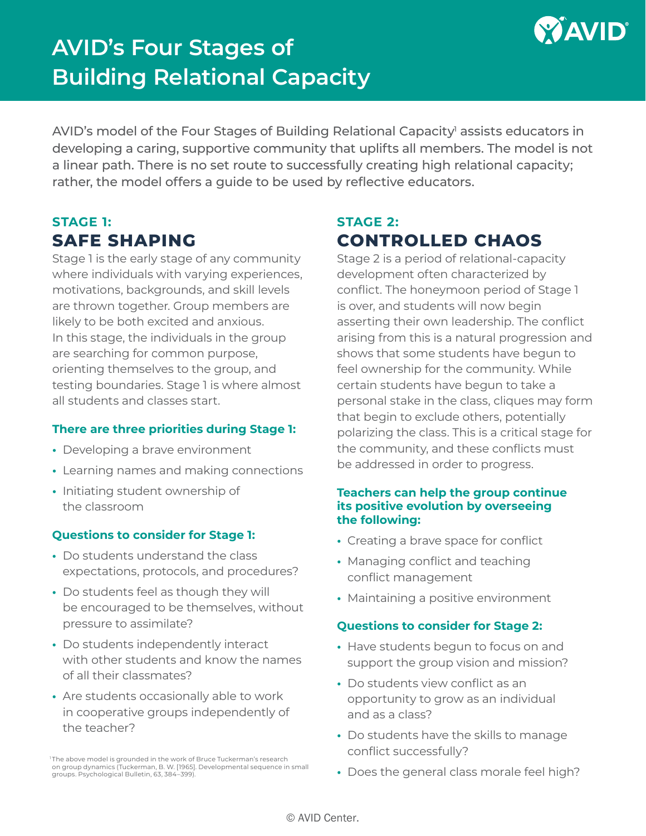

# **AVID's Four Stages of Building Relational Capacity**

AVID's model of the Four Stages of Building Relational Capacity<sup>1</sup> assists educators in developing a caring, supportive community that uplifts all members. The model is not a linear path. There is no set route to successfully creating high relational capacity; rather, the model offers a guide to be used by reflective educators.

### **STAGE 1: SAFE SHAPING**

Stage 1 is the early stage of any community where individuals with varying experiences, motivations, backgrounds, and skill levels are thrown together. Group members are likely to be both excited and anxious. In this stage, the individuals in the group are searching for common purpose, orienting themselves to the group, and testing boundaries. Stage 1 is where almost all students and classes start.

### **There are three priorities during Stage 1:**

- **•** Developing a brave environment
- **•** Learning names and making connections
- **•** Initiating student ownership of the classroom

### **Questions to consider for Stage 1:**

- **•** Do students understand the class expectations, protocols, and procedures?
- **•** Do students feel as though they will be encouraged to be themselves, without pressure to assimilate?
- **•** Do students independently interact with other students and know the names of all their classmates?
- **•** Are students occasionally able to work in cooperative groups independently of the teacher?

<sup>1</sup>The above model is grounded in the work of Bruce Tuckerman's research on group dynamics (Tuckerman, B. W. [1965]. Developmental sequence in small groups. Psychological Bulletin, 63, 384–399).

# **STAGE 2: CONTROLLED CHAOS**

Stage 2 is a period of relational-capacity development often characterized by conflict. The honeymoon period of Stage 1 is over, and students will now begin asserting their own leadership. The conflict arising from this is a natural progression and shows that some students have begun to feel ownership for the community. While certain students have begun to take a personal stake in the class, cliques may form that begin to exclude others, potentially polarizing the class. This is a critical stage for the community, and these conflicts must be addressed in order to progress.

### **Teachers can help the group continue its positive evolution by overseeing the following:**

- **•** Creating a brave space for conflict
- **•** Managing conflict and teaching conflict management
- **•** Maintaining a positive environment

### **Questions to consider for Stage 2:**

- **•** Have students begun to focus on and support the group vision and mission?
- **•** Do students view conflict as an opportunity to grow as an individual and as a class?
- **•** Do students have the skills to manage conflict successfully?
- **•** Does the general class morale feel high?